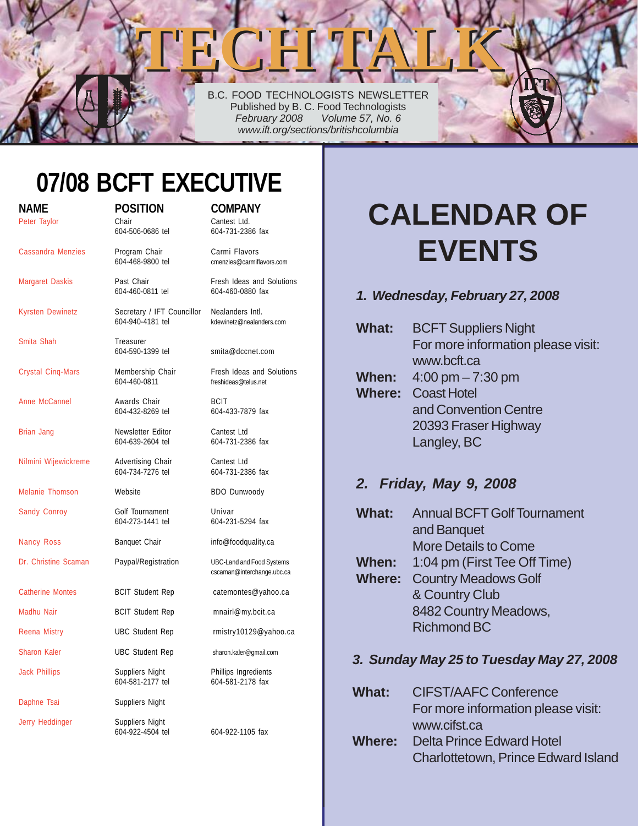B.C. FOOD TECHNOLOGISTS NEWSLETTER Published by B. C. Food Technologists *February 2008 Volume 57, No. 6 www.ift.org/sections/britishcolumbia*

**TECH TALK TECH TALK**

# **07/08 BCFT EXECUTIVE**

| name                     | <b>POSITION</b>                                | <b>COMPANY</b>                                          |
|--------------------------|------------------------------------------------|---------------------------------------------------------|
| Peter Taylor             | Chair<br>604-506-0686 tel                      | Cantest Ltd.<br>604-731-2386 fax                        |
| <b>Cassandra Menzies</b> | Program Chair<br>604-468-9800 tel              | Carmi Flavors<br>cmenzies@carmiflavors.com              |
| Margaret Daskis          | Past Chair<br>604-460-0811 tel                 | Fresh Ideas and Solutions<br>604-460-0880 fax           |
| Kyrsten Dewinetz         | Secretary / IFT Councillor<br>604-940-4181 tel | Nealanders Intl.<br>kdewinetz@nealanders.com            |
| Smita Shah               | Treasurer<br>604-590-1399 tel                  | smita@dccnet.com                                        |
| <b>Crystal Cing-Mars</b> | Membership Chair<br>604-460-0811               | Fresh Ideas and Solutions<br>freshideas@telus.net       |
| Anne McCannel            | Awards Chair<br>604-432-8269 tel               | <b>BCIT</b><br>604-433-7879 fax                         |
| Brian Jang               | Newsletter Editor<br>604-639-2604 tel          | Cantest Ltd<br>604-731-2386 fax                         |
| Nilmini Wijewickreme     | Advertising Chair<br>604-734-7276 tel          | Cantest Ltd<br>604-731-2386 fax                         |
| <b>Melanie Thomson</b>   | Website                                        | <b>BDO Dunwoody</b>                                     |
| <b>Sandy Conroy</b>      | Golf Tournament<br>604-273-1441 tel            | Univar<br>604-231-5294 fax                              |
| <b>Nancy Ross</b>        | Banquet Chair                                  | info@foodquality.ca                                     |
| Dr. Christine Scaman     | Paypal/Registration                            | UBC-Land and Food Systems<br>cscaman@interchange.ubc.ca |
| <b>Catherine Montes</b>  | <b>BCIT Student Rep</b>                        | catemontes@yahoo.ca                                     |
| Madhu Nair               | <b>BCIT Student Rep</b>                        | mnairl@my.bcit.ca                                       |
| Reena Mistry             | <b>UBC Student Rep</b>                         | rmistry10129@yahoo.ca                                   |
| <b>Sharon Kaler</b>      | <b>UBC Student Rep</b>                         | sharon.kaler@gmail.com                                  |
| Jack Phillips            | Suppliers Night<br>604-581-2177 tel            | Phillips Ingredients<br>604-581-2178 fax                |
| Daphne Tsai              | Suppliers Night                                |                                                         |
| Jerry Heddinger          | Suppliers Night<br>604-922-4504 tel            | 604-922-1105 fax                                        |

# **CALENDAR OF EVENTS**

### *1. Wednesday, February 27, 2008*

| What:                                    | <b>BCFT Suppliers Night</b><br>For more information please visit:<br>www.bcft.ca |  |  |  |
|------------------------------------------|----------------------------------------------------------------------------------|--|--|--|
| When:                                    | $4:00 \text{ pm} - 7:30 \text{ pm}$                                              |  |  |  |
| Where:                                   | <b>Coast Hotel</b>                                                               |  |  |  |
|                                          | and Convention Centre                                                            |  |  |  |
|                                          | 20393 Fraser Highway                                                             |  |  |  |
|                                          | Langley, BC                                                                      |  |  |  |
|                                          |                                                                                  |  |  |  |
|                                          |                                                                                  |  |  |  |
|                                          | 2. Friday, May 9, 2008                                                           |  |  |  |
| What:                                    | <b>Annual BCFT Golf Tournament</b>                                               |  |  |  |
|                                          | and Banquet                                                                      |  |  |  |
|                                          | <b>More Details to Come</b>                                                      |  |  |  |
| When:                                    | 1:04 pm (First Tee Off Time)                                                     |  |  |  |
| Where:                                   | <b>Country Meadows Golf</b>                                                      |  |  |  |
|                                          | & Country Club                                                                   |  |  |  |
|                                          | 8482 Country Meadows,                                                            |  |  |  |
|                                          | <b>Richmond BC</b>                                                               |  |  |  |
|                                          |                                                                                  |  |  |  |
| 3. Sunday May 25 to Tuesday May 27, 2008 |                                                                                  |  |  |  |
| <b>What:</b>                             | <b>CIFST/AAFC Conference</b>                                                     |  |  |  |
|                                          | For more information please visit:                                               |  |  |  |
|                                          | www.cifst.ca                                                                     |  |  |  |
| <b>Where:</b>                            | <b>Delta Prince Edward Hotel</b>                                                 |  |  |  |
|                                          | Charlottetown, Prince Edward Island                                              |  |  |  |
|                                          |                                                                                  |  |  |  |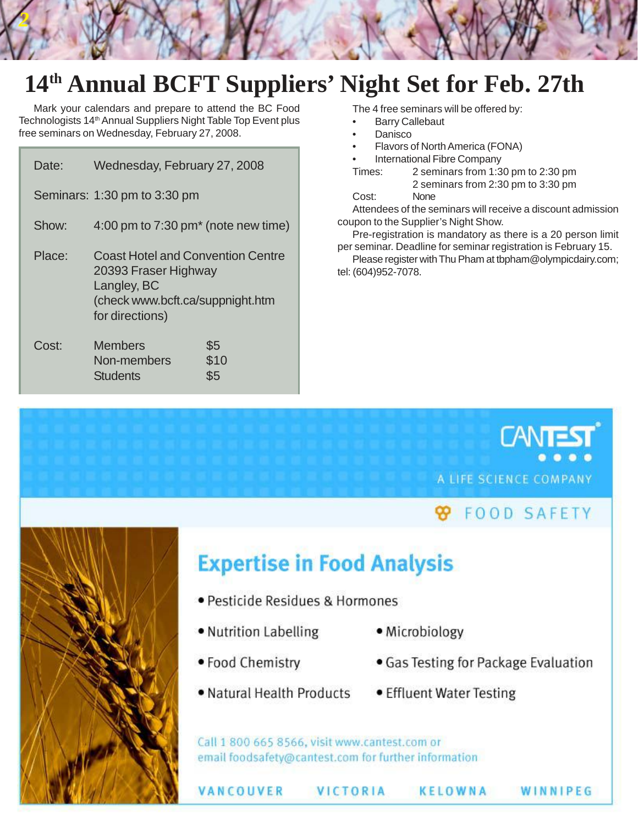## **14th Annual BCFT Suppliers' Night Set for Feb. 27th**

Mark your calendars and prepare to attend the BC Food Technologists 14<sup>th</sup> Annual Suppliers Night Table Top Event plus free seminars on Wednesday, February 27, 2008.

*2*

| Date:  | Wednesday, February 27, 2008                                                                                                           |                    |  |
|--------|----------------------------------------------------------------------------------------------------------------------------------------|--------------------|--|
|        | Seminars: 1:30 pm to 3:30 pm                                                                                                           |                    |  |
| Show:  | $4:00$ pm to $7:30$ pm $*$ (note new time)                                                                                             |                    |  |
| Place: | <b>Coast Hotel and Convention Centre</b><br>20393 Fraser Highway<br>Langley, BC<br>(check www.bcft.ca/suppnight.htm<br>for directions) |                    |  |
| Cost:  | Members<br>Non-members<br><b>Students</b>                                                                                              | \$5<br>\$10<br>\$5 |  |

The 4 free seminars will be offered by:

- **Barry Callebaut** 
	- Danisco
- Flavors of North America (FONA)
- International Fibre Company
- Times: 2 seminars from 1:30 pm to 2:30 pm 2 seminars from 2:30 pm to 3:30 pm

Cost: None

Attendees of the seminars will receive a discount admission coupon to the Supplier's Night Show.

Pre-registration is mandatory as there is a 20 person limit per seminar. Deadline for seminar registration is February 15.

Please register with Thu Pham at tbpham@olympicdairy.com; tel: (604)952-7078.



A LIFE SCIENCE COMPANY

### **W** FOOD SAFETY



# **Expertise in Food Analysis**

- · Pesticide Residues & Hormones
- Nutrition Labelling
- Microbiology
- · Food Chemistry
- . Natural Health Products
- Gas Testing for Package Evaluation
- Effluent Water Testing

Call 1 800 665 8566, visit www.cantest.com or email foodsafety@cantest.com for further information

VANCOUVER

VICTORIA

KELOWNA

WINNIPEG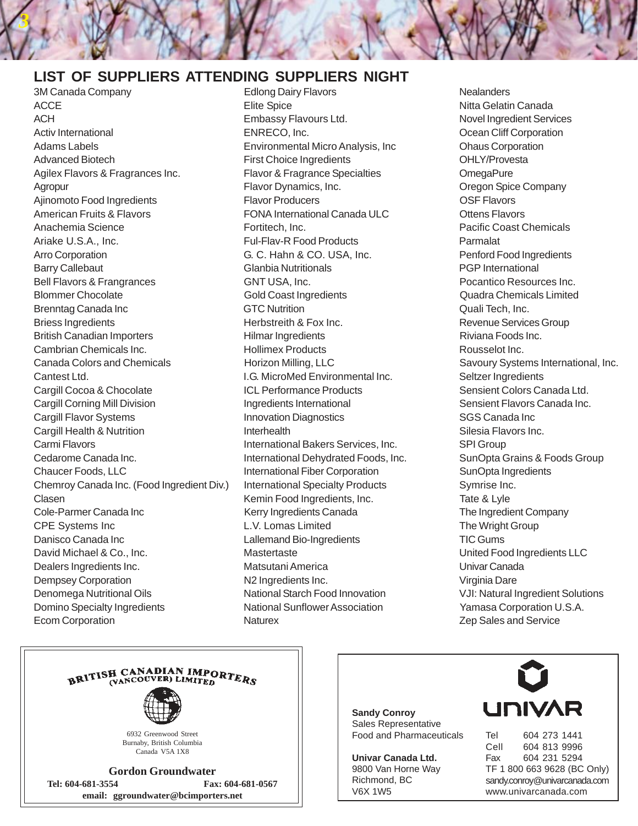### **LIST OF SUPPLIERS ATTENDING SUPPLIERS NIGHT**

3M Canada Company **Edlong Dairy Flavors** Flavors Nealanders ACCE Elite Spice Elite Spice Nitta Gelatin Canada ACH Embassy Flavours Ltd. Novel Ingredient Services Activ International ENRECO, Inc. Ocean Cliff Corporation Adams Labels Environmental Micro Analysis, Inc Ohaus Corporation Advanced Biotech **First Choice Ingredients CHLY/Provesta** OHLY/Provesta Agilex Flavors & Fragrances Inc. Flavor & Fragrance Specialties ComegaPure Agropur **Flavor Dynamics, Inc.** Company **Company** Flavor Dynamics, Inc. **Agropur** Company Ajinomoto Food Ingredients **Flavor Producers** Flavor Producers **Flavors** OSF Flavors American Fruits & Flavors The State of Tool All International Canada ULC The Ottens Flavors Anachemia Science **Fortitech, Inc.** Pacific Coast Chemicals Construction of the Fortitech, Inc. Ariake U.S.A., Inc. **Ful-Flav-R Food Products** Parmalat Arro Corporation **G. C. Hahn & CO. USA, Inc.** Penford Food Ingredients Barry Callebaut **Glanbia Nutritionals Glanbia Nutritionals PGP** International Bell Flavors & Frangrances **GNT USA, Inc.** Pocantico Resources Inc. Pocantico Resources Inc. Blommer Chocolate Gold Coast Ingredients Quadra Chemicals Limited Brenntag Canada Inc **GTC Nutrition** GTC Nutrition **GTC Nutrition** Cuali Tech, Inc. Briess Ingredients **Herbstreith & Fox Inc.** Revenue Services Group British Canadian Importers **Exercise Constructs** Hilmar Ingredients **Riviana Foods Inc. Riviana Foods Inc.** Cambrian Chemicals Inc. The Chemicals Inc. And Hollimex Products and Rousselot Inc. Canada Colors and Chemicals **Horizon Milling, LLC** Savoury Systems International, Inc. Cantest Ltd. **I.G. MicroMed Environmental Inc.** Seltzer Ingredients Cargill Cocoa & Chocolate **ICL Performance Products** Sensient Colors Canada Ltd. Cargill Corning Mill Division **Ingredients International** Sensient Flavors Canada Inc. Cargill Flavor Systems **Innovation Diagnostics** SGS Canada Inc Cargill Health & Nutrition **Interhealth Interhealth Interhealth** Silesia Flavors Inc. Carmi Flavors International Bakers Services, Inc. SPI Group Cedarome Canada Inc. **International Dehydrated Foods, Inc.** SunOpta Grains & Foods Group Chaucer Foods, LLC **International Fiber Corporation** SunOpta Ingredients Chemroy Canada Inc. (Food Ingredient Div.) International Specialty Products Symrise Inc. Clasen **Clasen** Clasen Clasen Clasen Clasen Clasen Clasen Clasen Clasen Clasen Clasen Clasen Clasen Clasen Clasen Clasen Clasen Clasen Clasen Clasen Clasen Clasen Clasen Clasen Clasen Clasen Clasen Clasen Clasen Clasen Cla Cole-Parmer Canada Inc **Kerry Ingredients Canada** The Ingredient Company CPE Systems Inc **CPE Systems** Inc **CPE Systems** Inc Danisco Canada Inc Lallemand Bio-Ingredients TIC Gums David Michael & Co., Inc. The Mastertaste Co., Inc. Mastertaste Co., Inc. 2012 11:30 Mastertaste Co., Inc. 2012 Dealers Ingredients Inc. Matsutani America Univar Canada Dempsey Corporation N2 Ingredients Inc. Virginia Dare Denomega Nutritional Oils National Starch Food Innovation VJI: Natural Ingredient Solutions Domino Specialty Ingredients **National Sunflower Association** Yamasa Corporation U.S.A.

*3*

Ecom Corporation Naturex Zep Sales and Service





6932 Greenwood Street Burnaby, British Columbia Canada V5A 1X8

**Gordon Groundwater**

**Tel: 604-681-3554 Fax: 604-681-0567 email: ggroundwater@bcimporters.net**

**Sandy Conroy** Sales Representative Food and Pharmaceuticals

**Univar Canada Ltd.** 9800 Van Horne Way Richmond, BC V6X 1W5



Tel 604 273 1441 Cell 604 813 9996 Fax 604 231 5294 TF 1 800 663 9628 (BC Only) sandy.conroy@univarcanada.com www.univarcanada.com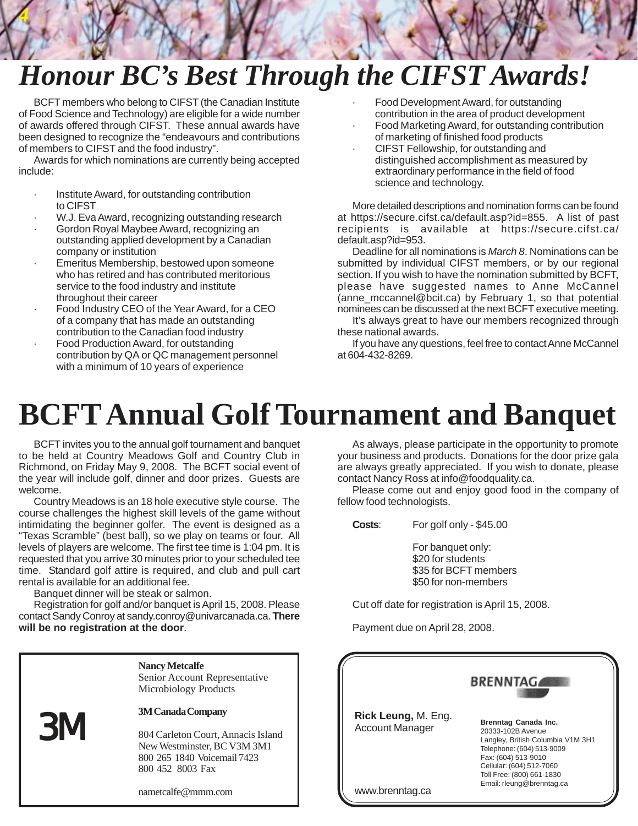# *Honour BC's Best Through the CIFST Awards!*

BCFT members who belong to CIFST (the Canadian Institute of Food Science and Technology) are eligible for a wide number of awards offered through CIFST. These annual awards have been designed to recognize the "endeavours and contributions of members to CIFST and the food industry".

Awards for which nominations are currently being accepted include:

· Institute Award, for outstanding contribution to CIFST

*4*

- W.J. Eva Award, recognizing outstanding research
- Gordon Royal Maybee Award, recognizing an outstanding applied development by a Canadian company or institution
- Emeritus Membership, bestowed upon someone who has retired and has contributed meritorious service to the food industry and institute throughout their career
- Food Industry CEO of the Year Award, for a CEO of a company that has made an outstanding contribution to the Canadian food industry
- Food Production Award, for outstanding contribution by QA or QC management personnel with a minimum of 10 years of experience
- Food Development Award, for outstanding contribution in the area of product development
- Food Marketing Award, for outstanding contribution of marketing of finished food products
- · CIFST Fellowship, for outstanding and distinguished accomplishment as measured by extraordinary performance in the field of food science and technology.

More detailed descriptions and nomination forms can be found at https://secure.cifst.ca/default.asp?id=855. A list of past recipients is available at https://secure.cifst.ca/ default.asp?id=953.

Deadline for all nominations is *March 8*. Nominations can be submitted by individual CIFST members, or by our regional section. If you wish to have the nomination submitted by BCFT, please have suggested names to Anne McCannel (anne\_mccannel@bcit.ca) by February 1, so that potential nominees can be discussed at the next BCFT executive meeting.

It's always great to have our members recognized through these national awards.

If you have any questions, feel free to contact Anne McCannel at 604-432-8269.

# **BCFT Annual Golf Tournament and Banquet**

BCFT invites you to the annual golf tournament and banquet to be held at Country Meadows Golf and Country Club in Richmond, on Friday May 9, 2008. The BCFT social event of the year will include golf, dinner and door prizes. Guests are welcome.

Country Meadows is an 18 hole executive style course. The course challenges the highest skill levels of the game without intimidating the beginner golfer. The event is designed as a "Texas Scramble" (best ball), so we play on teams or four. All levels of players are welcome. The first tee time is 1:04 pm. It is requested that you arrive 30 minutes prior to your scheduled tee time. Standard golf attire is required, and club and pull cart rental is available for an additional fee.

Banquet dinner will be steak or salmon.

Registration for golf and/or banquet is April 15, 2008. Please contact Sandy Conroy at sandy.conroy@univarcanada.ca. **There will be no registration at the door**.

> **Nancy Metcalfe** Senior Account Representative Microbiology Products

3M

#### **3M Canada Company**

804 Carleton Court, Annacis Island New Westminster, BC V3M 3M1 800 265 1840 Voicemail 7423 800 452 8003 Fax

nametcalfe@mmm.com

As always, please participate in the opportunity to promote your business and products. Donations for the door prize gala are always greatly appreciated. If you wish to donate, please contact Nancy Ross at info@foodquality.ca.

Please come out and enjoy good food in the company of fellow food technologists.

**Costs**: For golf only - \$45.00

For banquet only: \$20 for students \$35 for BCFT members \$50 for non-members

Cut off date for registration is April 15, 2008.

Payment due on April 28, 2008.

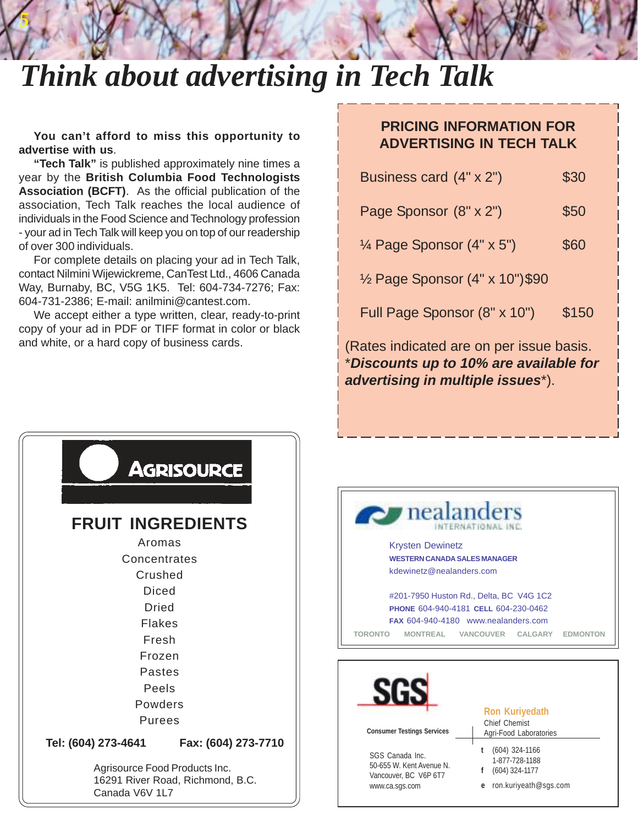# *Think about advertising in Tech Talk*

**You can't afford to miss this opportunity to advertise with us**.

*5*

**"Tech Talk"** is published approximately nine times a year by the **British Columbia Food Technologists Association (BCFT)**. As the official publication of the association, Tech Talk reaches the local audience of individuals in the Food Science and Technology profession - your ad in Tech Talk will keep you on top of our readership of over 300 individuals.

For complete details on placing your ad in Tech Talk, contact Nilmini Wijewickreme, CanTest Ltd., 4606 Canada Way, Burnaby, BC, V5G 1K5. Tel: 604-734-7276; Fax: 604-731-2386; E-mail: anilmini@cantest.com.

We accept either a type written, clear, ready-to-print copy of your ad in PDF or TIFF format in color or black and white, or a hard copy of business cards.

### **PRICING INFORMATION FOR ADVERTISING IN TECH TALK**

| Business card (4" x 2")                | \$30  |  |  |
|----------------------------------------|-------|--|--|
| Page Sponsor (8" x 2")                 | \$50  |  |  |
| 1/4 Page Sponsor (4" x 5")             | \$60  |  |  |
| 1/2 Page Sponsor (4" x 10") \$90       |       |  |  |
| Full Page Sponsor (8" x 10")           | \$150 |  |  |
| zized auzzi 190 no are hategihai zate? |       |  |  |

(Rates indicated are on per issue basis. \**Discounts up to 10% are available for advertising in multiple issues*\*).





**Consumer Testings Services** Agri-Food Laboratories

SGS Canada Inc. 50-655 W. Kent Avenue N. Vancouver, BC V6P 6T7 www.ca.sgs.com

**t** (604) 324-1166 1-877-728-1188

**f** (604) 324-1177

**e** ron.kuriyeath@sgs.com